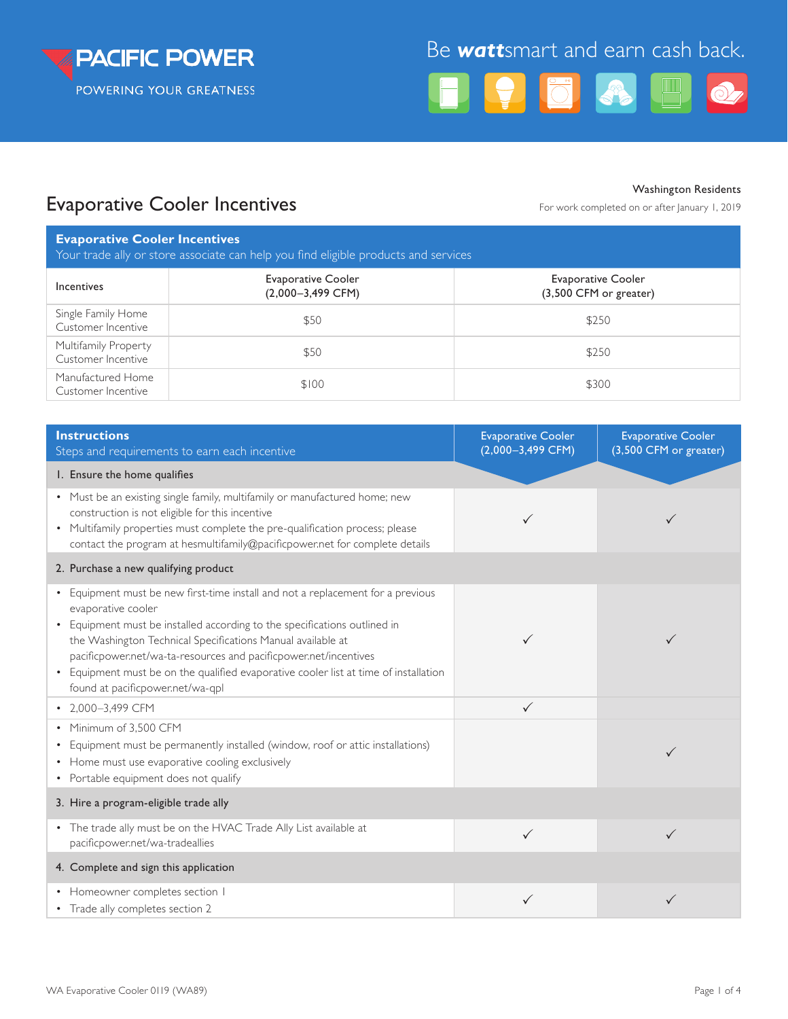

# Be *watt*smart and earn cash back.



## Evaporative Cooler Incentives For May also For work completed on or after January 1, 2019

Washington Residents

| <b>Evaporative Cooler Incentives</b><br>Your trade ally or store associate can help you find eligible products and services |                                                  |                                                     |  |  |  |
|-----------------------------------------------------------------------------------------------------------------------------|--------------------------------------------------|-----------------------------------------------------|--|--|--|
| Incentives                                                                                                                  | <b>Evaporative Cooler</b><br>$(2,000-3,499$ CFM) | <b>Evaporative Cooler</b><br>(3,500 CFM or greater) |  |  |  |
| Single Family Home<br>Customer Incentive                                                                                    | \$50                                             | \$250                                               |  |  |  |
| Multifamily Property<br>Customer Incentive                                                                                  | \$50                                             | \$250                                               |  |  |  |
| Manufactured Home<br>Customer Incentive                                                                                     | \$100                                            | \$300                                               |  |  |  |

| <b>Instructions</b><br>Steps and requirements to earn each incentive                                                                                                                                                                                                                                                                                                                                                                              | <b>Evaporative Cooler</b><br>$(2,000-3,499$ CFM) | <b>Evaporative Cooler</b><br>(3,500 CFM or greater) |
|---------------------------------------------------------------------------------------------------------------------------------------------------------------------------------------------------------------------------------------------------------------------------------------------------------------------------------------------------------------------------------------------------------------------------------------------------|--------------------------------------------------|-----------------------------------------------------|
| I. Ensure the home qualifies                                                                                                                                                                                                                                                                                                                                                                                                                      |                                                  |                                                     |
| • Must be an existing single family, multifamily or manufactured home; new<br>construction is not eligible for this incentive<br>• Multifamily properties must complete the pre-qualification process; please<br>contact the program at hesmultifamily@pacificpower.net for complete details                                                                                                                                                      |                                                  |                                                     |
| 2. Purchase a new qualifying product                                                                                                                                                                                                                                                                                                                                                                                                              |                                                  |                                                     |
| • Equipment must be new first-time install and not a replacement for a previous<br>evaporative cooler<br>• Equipment must be installed according to the specifications outlined in<br>the Washington Technical Specifications Manual available at<br>pacificpower.net/wa-ta-resources and pacificpower.net/incentives<br>• Equipment must be on the qualified evaporative cooler list at time of installation<br>found at pacificpower.net/wa-qpl |                                                  | ✓                                                   |
| • 2,000-3,499 CFM                                                                                                                                                                                                                                                                                                                                                                                                                                 | $\checkmark$                                     |                                                     |
| • Minimum of 3.500 CFM<br>• Equipment must be permanently installed (window, roof or attic installations)<br>• Home must use evaporative cooling exclusively<br>• Portable equipment does not qualify                                                                                                                                                                                                                                             |                                                  |                                                     |
| 3. Hire a program-eligible trade ally                                                                                                                                                                                                                                                                                                                                                                                                             |                                                  |                                                     |
| • The trade ally must be on the HVAC Trade Ally List available at<br>pacificpower.net/wa-tradeallies                                                                                                                                                                                                                                                                                                                                              | $\checkmark$                                     | ✓                                                   |
| 4. Complete and sign this application                                                                                                                                                                                                                                                                                                                                                                                                             |                                                  |                                                     |
| • Homeowner completes section I<br>• Trade ally completes section 2                                                                                                                                                                                                                                                                                                                                                                               | $\checkmark$                                     | ✓                                                   |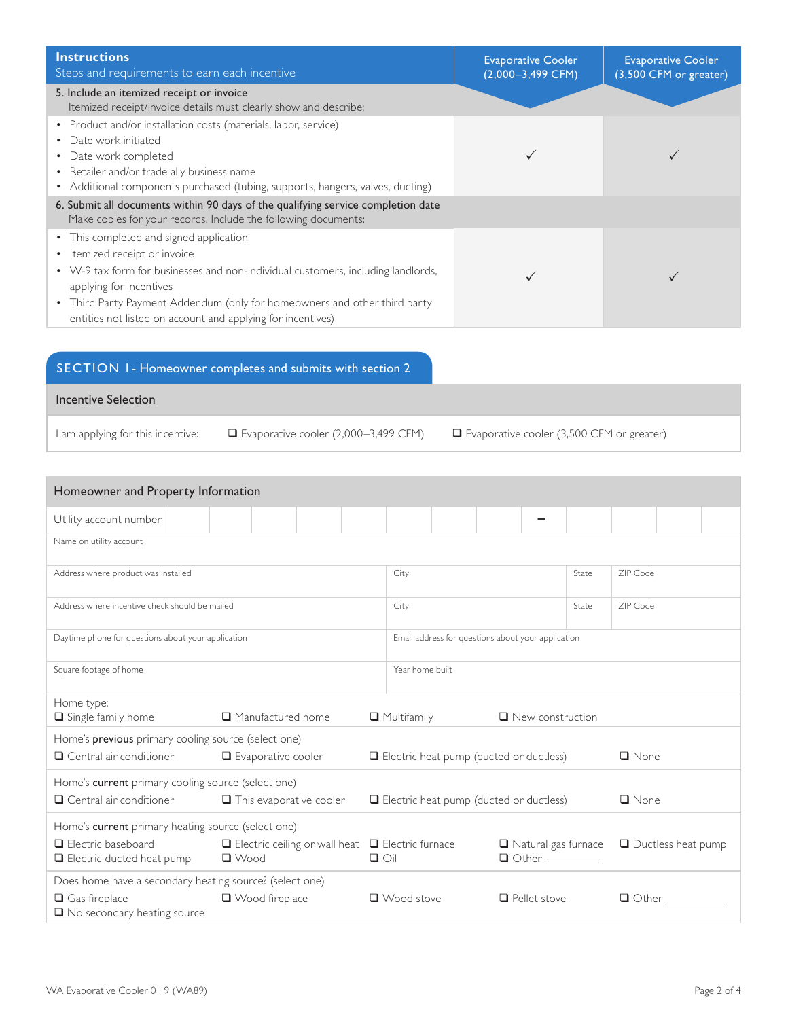| <b>Instructions</b><br>Steps and requirements to earn each incentive                                                                                                                                                                                                                                                                | <b>Evaporative Cooler</b><br>$(2,000-3,499$ CFM) | <b>Evaporative Cooler</b><br>(3,500 CFM or greater) |
|-------------------------------------------------------------------------------------------------------------------------------------------------------------------------------------------------------------------------------------------------------------------------------------------------------------------------------------|--------------------------------------------------|-----------------------------------------------------|
| 5. Include an itemized receipt or invoice<br>Itemized receipt/invoice details must clearly show and describe:                                                                                                                                                                                                                       |                                                  |                                                     |
| • Product and/or installation costs (materials, labor, service)<br>• Date work initiated<br>• Date work completed<br>• Retailer and/or trade ally business name<br>• Additional components purchased (tubing, supports, hangers, valves, ducting)                                                                                   |                                                  |                                                     |
| 6. Submit all documents within 90 days of the qualifying service completion date<br>Make copies for your records. Include the following documents:                                                                                                                                                                                  |                                                  |                                                     |
| • This completed and signed application<br>• Itemized receipt or invoice<br>• W-9 tax form for businesses and non-individual customers, including landlords,<br>applying for incentives<br>• Third Party Payment Addendum (only for homeowners and other third party<br>entities not listed on account and applying for incentives) |                                                  |                                                     |

## SECTION 1 - Homeowner completes and submits with section 2

Incentive Selection

I am applying for this incentive:  $\Box$  Evaporative cooler (2,000–3,499 CFM)  $\Box$  Evaporative cooler (3,500 CFM or greater)

| Homeowner and Property Information                                                                          |                                                                           |  |                      |                                                    |                                                              |  |                                                                     |             |                      |                                       |  |
|-------------------------------------------------------------------------------------------------------------|---------------------------------------------------------------------------|--|----------------------|----------------------------------------------------|--------------------------------------------------------------|--|---------------------------------------------------------------------|-------------|----------------------|---------------------------------------|--|
| Utility account number                                                                                      |                                                                           |  |                      |                                                    |                                                              |  |                                                                     |             |                      |                                       |  |
| Name on utility account                                                                                     |                                                                           |  |                      |                                                    |                                                              |  |                                                                     |             |                      |                                       |  |
| Address where product was installed                                                                         |                                                                           |  |                      | City<br>State                                      |                                                              |  | ZIP Code                                                            |             |                      |                                       |  |
| Address where incentive check should be mailed                                                              |                                                                           |  |                      | City<br>State                                      |                                                              |  | ZIP Code                                                            |             |                      |                                       |  |
| Daytime phone for questions about your application                                                          |                                                                           |  |                      | Email address for questions about your application |                                                              |  |                                                                     |             |                      |                                       |  |
| Square footage of home                                                                                      |                                                                           |  |                      | Year home built                                    |                                                              |  |                                                                     |             |                      |                                       |  |
| Home type:<br>$\Box$ Single family home                                                                     | $\Box$ Manufactured home<br>$\Box$ New construction<br>$\Box$ Multifamily |  |                      |                                                    |                                                              |  |                                                                     |             |                      |                                       |  |
| Home's previous primary cooling source (select one)                                                         |                                                                           |  |                      |                                                    |                                                              |  |                                                                     |             |                      |                                       |  |
| $\Box$ Central air conditioner                                                                              | Evaporative cooler                                                        |  |                      | $\Box$ Electric heat pump (ducted or ductless)     |                                                              |  |                                                                     | $\Box$ None |                      |                                       |  |
| Home's current primary cooling source (select one)                                                          |                                                                           |  |                      |                                                    |                                                              |  |                                                                     |             |                      |                                       |  |
| $\Box$ Central air conditioner<br>$\Box$ This evaporative cooler<br>Electric heat pump (ducted or ductless) |                                                                           |  |                      |                                                    | $\Box$ None                                                  |  |                                                                     |             |                      |                                       |  |
| Home's current primary heating source (select one)                                                          |                                                                           |  |                      |                                                    |                                                              |  |                                                                     |             |                      |                                       |  |
| $\Box$ Electric baseboard<br>$\Box$ Electric ducted heat pump                                               | $\Box$ Wood                                                               |  | $\Box$ $\bigcirc$ il |                                                    | $\Box$ Electric ceiling or wall heat $\Box$ Electric furnace |  | $\Box$ Natural gas furnace<br>$\Box$ Other $\_\_\_\_\_\_\_\_\_\_\_$ |             | □ Ductless heat pump |                                       |  |
| Does home have a secondary heating source? (select one)                                                     |                                                                           |  |                      |                                                    |                                                              |  |                                                                     |             |                      |                                       |  |
| $\Box$ Gas fireplace<br>$\Box$ No secondary heating source                                                  | □ Wood fireplace                                                          |  |                      | $\Box$ Wood stove                                  |                                                              |  | $\Box$ Pellet stove                                                 |             |                      | $\Box$ Other $\_\_\_\_\_\_\_\_\_\_\_$ |  |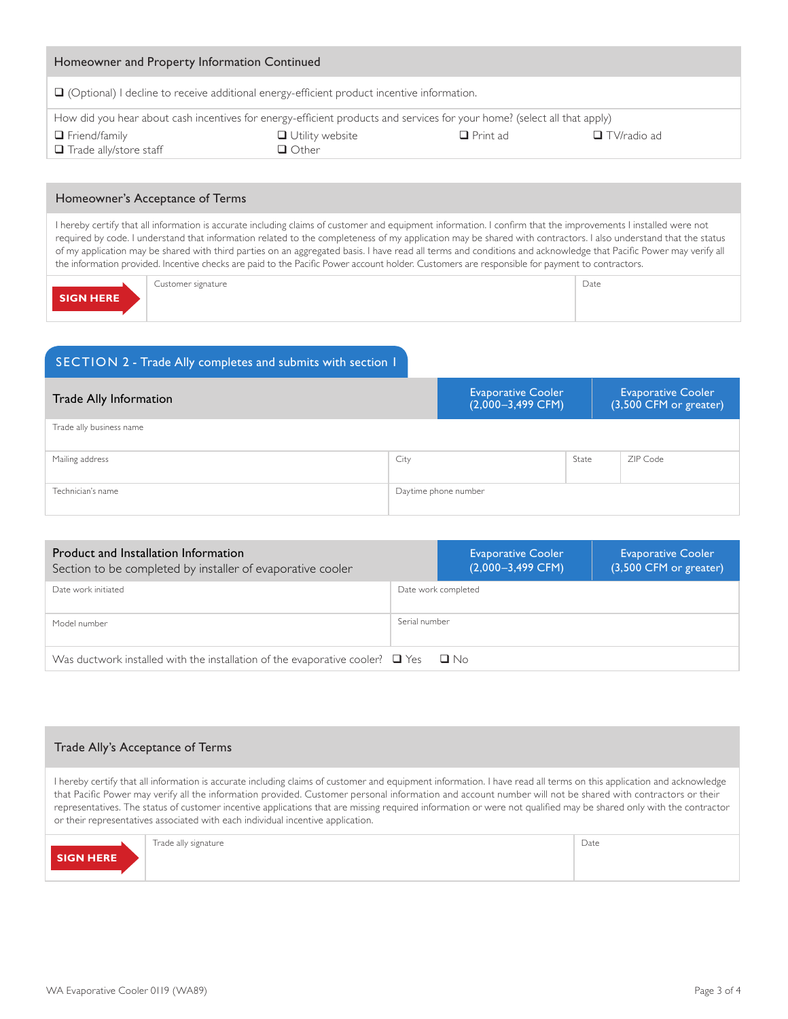| Homeowner and Property Information Continued                                                                             |                                        |                 |                    |  |  |  |
|--------------------------------------------------------------------------------------------------------------------------|----------------------------------------|-----------------|--------------------|--|--|--|
| $\Box$ (Optional) I decline to receive additional energy-efficient product incentive information.                        |                                        |                 |                    |  |  |  |
| How did you hear about cash incentives for energy-efficient products and services for your home? (select all that apply) |                                        |                 |                    |  |  |  |
| $\Box$ Friend/family<br>$\Box$ Trade ally/store staff                                                                    | $\Box$ Utility website<br>$\Box$ Other | $\Box$ Print ad | $\Box$ TV/radio ad |  |  |  |
|                                                                                                                          |                                        |                 |                    |  |  |  |

### Homeowner's Acceptance of Terms

I hereby certify that all information is accurate including claims of customer and equipment information. I confirm that the improvements I installed were not required by code. I understand that information related to the completeness of my application may be shared with contractors. I also understand that the status of my application may be shared with third parties on an aggregated basis. I have read all terms and conditions and acknowledge that Pacific Power may verify all the information provided. Incentive checks are paid to the Pacific Power account holder. Customers are responsible for payment to contractors.

Customer signature **Date SIGN HERE**

## SECTION 2 - Trade Ally completes and submits with section 1

| Trade Ally Information   | <b>Evaporative Cooler</b><br>$(2,000-3,499$ CFM) |       | <b>Evaporative Cooler</b><br>(3,500 CFM or greater) |
|--------------------------|--------------------------------------------------|-------|-----------------------------------------------------|
| Trade ally business name |                                                  |       |                                                     |
| Mailing address          | City                                             | State | ZIP Code                                            |
| Technician's name        | Daytime phone number                             |       |                                                     |

| Product and Installation Information<br>Section to be completed by installer of evaporative cooler |                     | <b>Evaporative Cooler</b><br>$(2,000-3,499$ CFM) | <b>Evaporative Cooler</b><br>(3,500 CFM or greater) |  |  |
|----------------------------------------------------------------------------------------------------|---------------------|--------------------------------------------------|-----------------------------------------------------|--|--|
| Date work initiated                                                                                | Date work completed |                                                  |                                                     |  |  |
| Model number                                                                                       | Serial number       |                                                  |                                                     |  |  |
| Was ductwork installed with the installation of the evaporative cooler? $\Box$ Yes<br>$\Box$ No    |                     |                                                  |                                                     |  |  |

## Trade Ally's Acceptance of Terms

I hereby certify that all information is accurate including claims of customer and equipment information. I have read all terms on this application and acknowledge that Pacific Power may verify all the information provided. Customer personal information and account number will not be shared with contractors or their representatives. The status of customer incentive applications that are missing required information or were not qualified may be shared only with the contractor or their representatives associated with each individual incentive application.